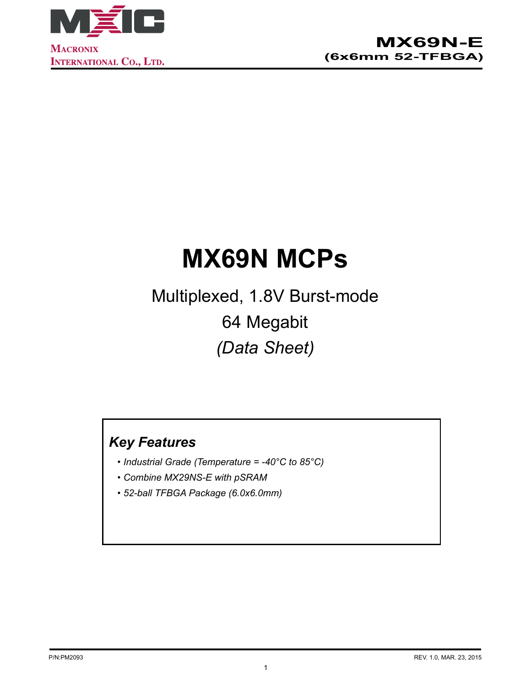

# **MX69N MCPs**

Multiplexed, 1.8V Burst-mode 64 Megabit *(Data Sheet)*

# *Key Features*

- *• Industrial Grade (Temperature = -40°C to 85°C)*
- *• Combine MX29NS-E with pSRAM*
- *• 52-ball TFBGA Package (6.0x6.0mm)*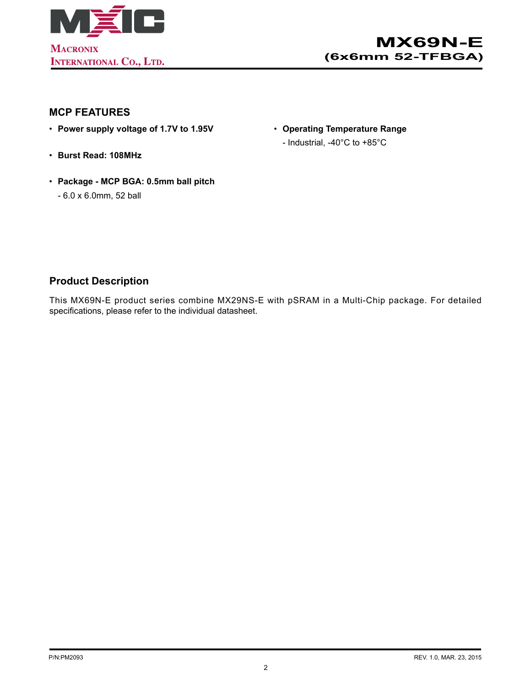

#### **MCP FEATURES**

- • **Power supply voltage of 1.7V to 1.95V**
- • **Burst Read: 108MHz**
- • **Package MCP BGA: 0.5mm ball pitch**
	- 6.0 x 6.0mm, 52 ball
- • **Operating Temperature Range**
	- Industrial, -40°C to +85°C

#### **Product Description**

This MX69N-E product series combine MX29NS-E with pSRAM in a Multi-Chip package. For detailed specifications, please refer to the individual datasheet.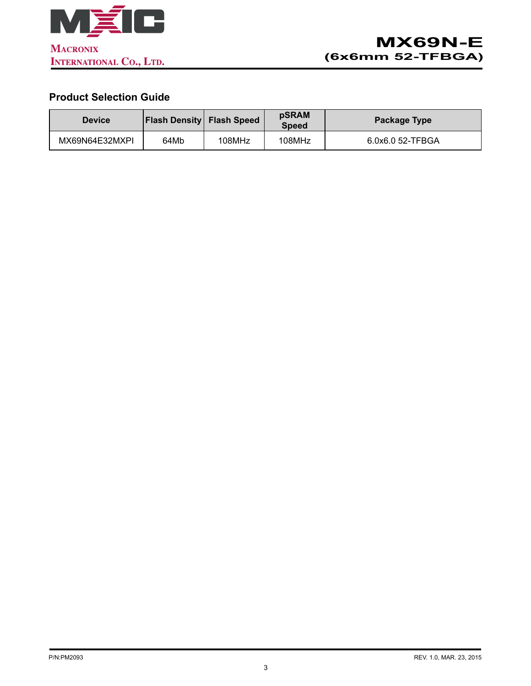

# **Product Selection Guide**

| <b>Device</b>  | <b>Flash Density Flash Speed</b> |        | <b>pSRAM</b><br><b>Speed</b> | Package Type     |  |
|----------------|----------------------------------|--------|------------------------------|------------------|--|
| MX69N64E32MXPI | 64Mb                             | 108MHz | 108MHz                       | 6.0x6.0 52-TFBGA |  |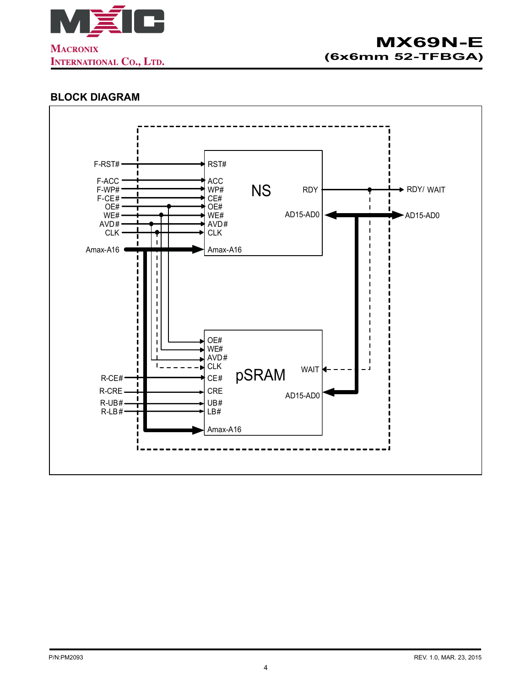

### **BLOCK DIAGRAM**

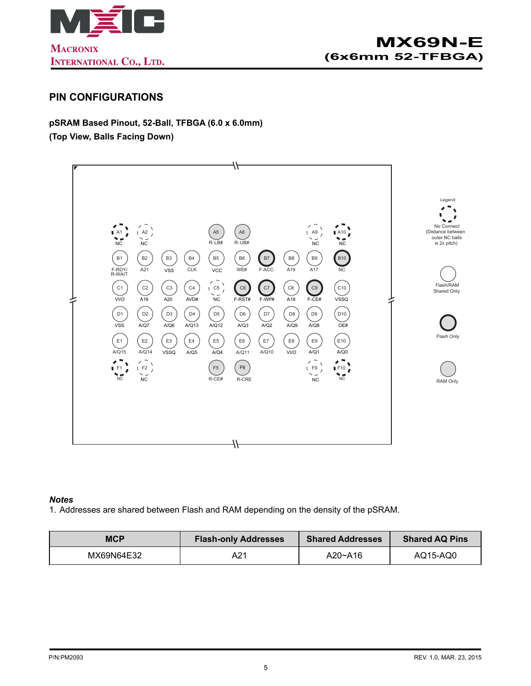

#### **PIN CONFIGURATIONS**

**pSRAM Based Pinout, 52-Ball, TFBGA (6.0 x 6.0mm) (Top View, Balls Facing Down)**



#### *Notes*

1. Addresses are shared between Flash and RAM depending on the density of the pSRAM.

| <b>MCP</b> | <b>Flash-only Addresses</b> | <b>Shared Addresses</b> | <b>Shared AQ Pins</b> |  |
|------------|-----------------------------|-------------------------|-----------------------|--|
| MX69N64E32 | A21                         | A20~A16                 | AQ15-AQ0              |  |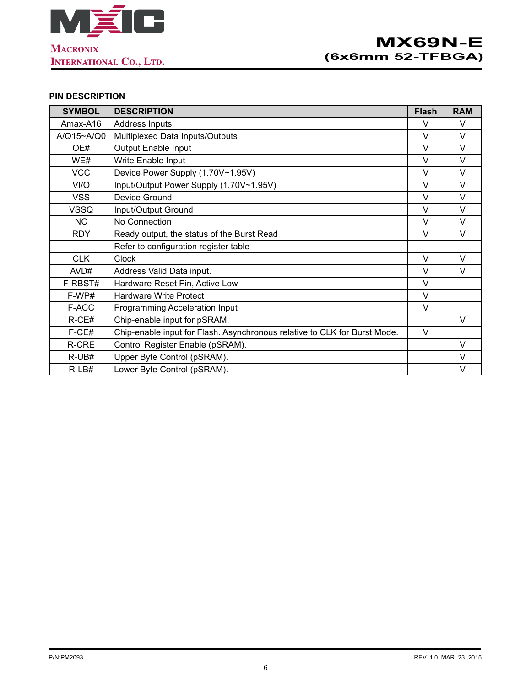

#### **PIN DESCRIPTION**

| <b>SYMBOL</b> | <b>DESCRIPTION</b>                                                        | <b>Flash</b> | <b>RAM</b> |
|---------------|---------------------------------------------------------------------------|--------------|------------|
| Amax-A16      | Address Inputs                                                            | V            | $\vee$     |
| A/Q15~A/Q0    | Multiplexed Data Inputs/Outputs                                           | V            | $\vee$     |
| OE#           | <b>Output Enable Input</b>                                                | $\vee$       | $\vee$     |
| WE#           | Write Enable Input                                                        | V            | $\vee$     |
| <b>VCC</b>    | Device Power Supply (1.70V~1.95V)                                         | $\vee$       | $\vee$     |
| VI/O          | Input/Output Power Supply (1.70V~1.95V)                                   | V            | $\vee$     |
| <b>VSS</b>    | Device Ground                                                             | V            | $\vee$     |
| <b>VSSQ</b>   | Input/Output Ground                                                       | $\vee$       | $\vee$     |
| <b>NC</b>     | No Connection                                                             | $\vee$       | $\vee$     |
| <b>RDY</b>    | Ready output, the status of the Burst Read                                | V            | $\vee$     |
|               | Refer to configuration register table                                     |              |            |
| <b>CLK</b>    | <b>Clock</b>                                                              | V            | $\vee$     |
| AVD#          | Address Valid Data input.                                                 | $\vee$       | $\vee$     |
| F-RBST#       | Hardware Reset Pin, Active Low                                            | V            |            |
| F-WP#         | <b>Hardware Write Protect</b>                                             | V            |            |
| F-ACC         | Programming Acceleration Input                                            | V            |            |
| $R$ -CE#      | Chip-enable input for pSRAM.                                              |              | $\vee$     |
| F-CE#         | Chip-enable input for Flash. Asynchronous relative to CLK for Burst Mode. | $\vee$       |            |
| R-CRE         | Control Register Enable (pSRAM).                                          |              | $\vee$     |
| R-UB#         | Upper Byte Control (pSRAM).                                               |              | $\vee$     |
| $R-LB#$       | Lower Byte Control (pSRAM).                                               |              | $\vee$     |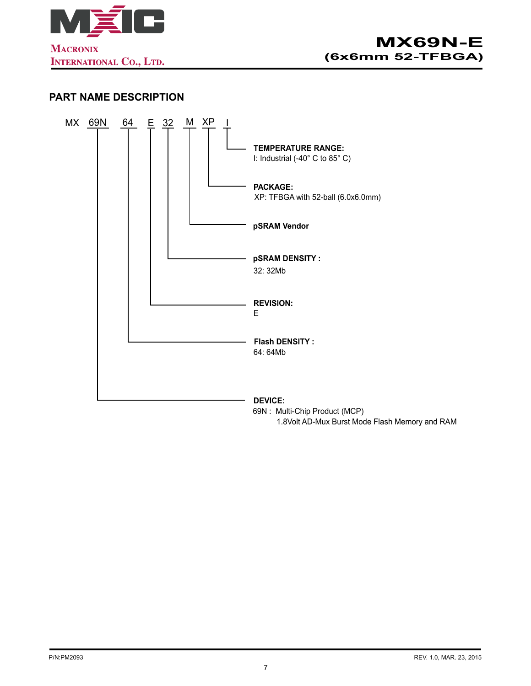

#### **PART NAME DESCRIPTION**



1.8Volt AD-Mux Burst Mode Flash Memory and RAM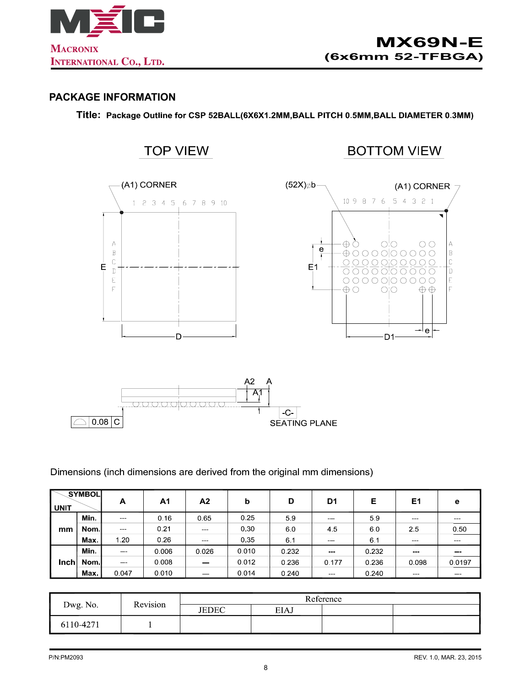

#### **PACKAGE INFORMATION**

Title: Package Outline for CSP 52BALL(6X6X1.2MM, BALL PITCH 0.5MM, BALL DIAMETER 0.3MM)



**SEATING PLANE** 

Dimensions (inch dimensions are derived from the original mm dimensions)

| <b>UNIT</b> | SYMBOL | A                            | A <sub>1</sub> | A2     | b     | D     | D <sub>1</sub> | Е     | E1    | е      |
|-------------|--------|------------------------------|----------------|--------|-------|-------|----------------|-------|-------|--------|
| mm          | Min.   |                              | 0.16           | 0.65   | 0.25  | 59    |                | 59    | –     |        |
|             | Nom l  |                              | 0.21           |        | 0.30  | 6.0   | 45             | 60    | 25    | 0.50   |
|             | Max.   | 1.20                         | 0.26           | $\sim$ | 0.35  | 6.1   |                | 6.1   |       |        |
| Inch        | Min.   | $\qquad \qquad \blacksquare$ | 0.006          | 0.026  | 0.010 | 0.232 | $\sim$         | 0.232 |       |        |
|             | Nom l  | $\overline{\phantom{a}}$     | 0.008          | $-$    | 0.012 | 0.236 | 0.177          | 0.236 | 0.098 | 0.0197 |
|             | Max.   | 0.047                        | 0.010          | $-$    | 0.014 | 0.240 | $\sim$         | 0.240 |       |        |

| Dwg. No.  | Revision | Reference    |             |  |  |  |
|-----------|----------|--------------|-------------|--|--|--|
|           |          | <b>JEDEC</b> | <b>EIAJ</b> |  |  |  |
| 6110-4271 |          |              |             |  |  |  |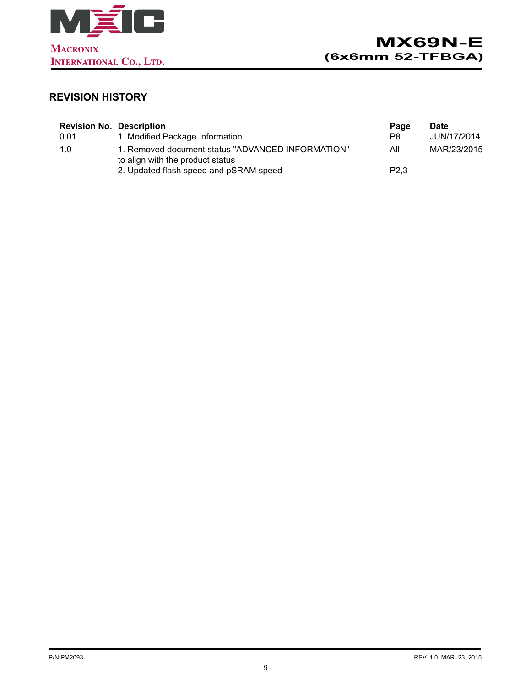

# **REVISION HISTORY**

| <b>Revision No. Description</b> |                                                                                       | Page             | <b>Date</b> |
|---------------------------------|---------------------------------------------------------------------------------------|------------------|-------------|
| 0.01                            | 1. Modified Package Information                                                       | P8.              | JUN/17/2014 |
| 1.0                             | 1. Removed document status "ADVANCED INFORMATION"<br>to align with the product status | All              | MAR/23/2015 |
|                                 | 2. Updated flash speed and pSRAM speed                                                | P <sub>2.3</sub> |             |